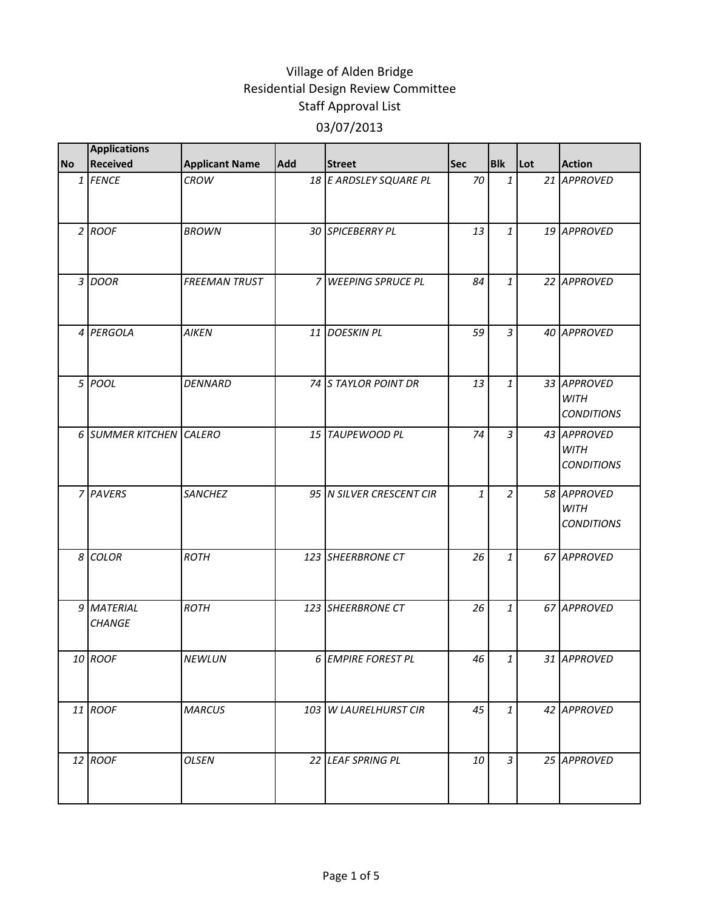| <b>No</b> | <b>Applications</b><br><b>Received</b> | <b>Applicant Name</b> | Add | <b>Street</b>            | <b>Sec</b> | <b>Blk</b>     | Lot | <b>Action</b>                                   |
|-----------|----------------------------------------|-----------------------|-----|--------------------------|------------|----------------|-----|-------------------------------------------------|
|           | 1 FENCE                                | <b>CROW</b>           |     | 18 E ARDSLEY SQUARE PL   | 70         | $\mathbf{1}$   |     | 21 APPROVED                                     |
|           | $2$ ROOF                               | <b>BROWN</b>          |     | 30 SPICEBERRY PL         | 13         | $\mathbf{1}$   |     | 19 APPROVED                                     |
|           | 3 DOOR                                 | <b>FREEMAN TRUST</b>  |     | 7 WEEPING SPRUCE PL      | 84         | $\mathbf{1}$   |     | 22 APPROVED                                     |
|           | 4 PERGOLA                              | <b>AIKEN</b>          |     | 11 DOESKIN PL            | 59         | $\mathfrak{Z}$ |     | 40 APPROVED                                     |
|           | 5 POOL                                 | <b>DENNARD</b>        |     | 74 S TAYLOR POINT DR     | 13         | $\mathbf{1}$   |     | 33 APPROVED<br><b>WITH</b><br><b>CONDITIONS</b> |
|           | 6 SUMMER KITCHEN CALERO                |                       |     | 15 TAUPEWOOD PL          | 74         | 3              |     | 43 APPROVED<br><b>WITH</b><br><b>CONDITIONS</b> |
|           | 7 PAVERS                               | <b>SANCHEZ</b>        |     | 95 N SILVER CRESCENT CIR | 1          | $\overline{a}$ |     | 58 APPROVED<br><b>WITH</b><br><b>CONDITIONS</b> |
|           | 8 COLOR                                | <b>ROTH</b>           |     | 123 SHEERBRONE CT        | 26         | $\mathbf{1}$   |     | 67 APPROVED                                     |
|           | 9 MATERIAL<br><b>CHANGE</b>            | <b>ROTH</b>           |     | 123 SHEERBRONE CT        | 26         | $\mathbf{1}$   |     | 67 APPROVED                                     |
|           | 10 ROOF                                | NEWLUN                |     | 6 EMPIRE FOREST PL       | 46         | $\mathbf{1}$   |     | 31 APPROVED                                     |
|           | 11 ROOF                                | <b>MARCUS</b>         |     | 103 W LAURELHURST CIR    | 45         | 1              |     | 42 APPROVED                                     |
|           | 12 ROOF                                | <b>OLSEN</b>          |     | 22 LEAF SPRING PL        | 10         | 3              |     | 25 APPROVED                                     |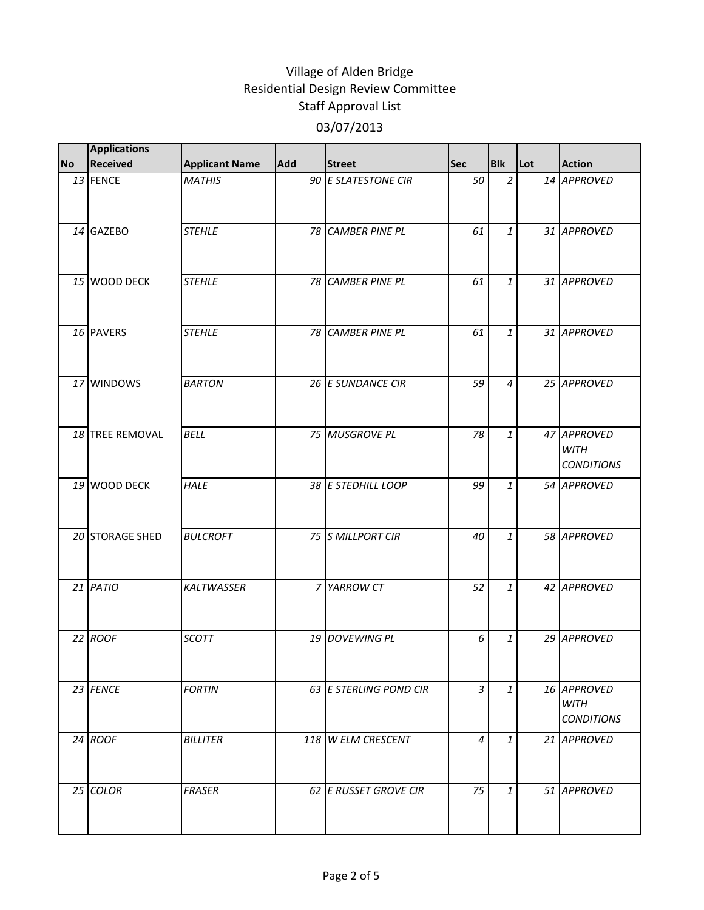|           | <b>Applications</b> |                       |     |                        |            |                |     |                                                 |
|-----------|---------------------|-----------------------|-----|------------------------|------------|----------------|-----|-------------------------------------------------|
| <b>No</b> | Received            | <b>Applicant Name</b> | Add | <b>Street</b>          | <b>Sec</b> | <b>Blk</b>     | Lot | <b>Action</b>                                   |
|           | 13 FENCE            | <b>MATHIS</b>         |     | 90 E SLATESTONE CIR    | 50         | $\overline{2}$ |     | 14 APPROVED                                     |
|           | 14 GAZEBO           | <b>STEHLE</b>         |     | 78 CAMBER PINE PL      | 61         | $\mathbf{1}$   |     | 31 APPROVED                                     |
|           | 15 WOOD DECK        | <b>STEHLE</b>         |     | 78 CAMBER PINE PL      | 61         | $\mathbf{1}$   |     | 31 APPROVED                                     |
|           | 16 PAVERS           | <b>STEHLE</b>         |     | 78 CAMBER PINE PL      | 61         | $\mathbf{1}$   |     | 31 APPROVED                                     |
|           | 17 WINDOWS          | <b>BARTON</b>         |     | 26 E SUNDANCE CIR      | 59         | $\overline{4}$ |     | 25 APPROVED                                     |
|           | 18 TREE REMOVAL     | <b>BELL</b>           |     | 75 MUSGROVE PL         | 78         | $\mathbf{1}$   |     | 47 APPROVED<br><b>WITH</b><br><b>CONDITIONS</b> |
|           | 19 WOOD DECK        | <b>HALE</b>           |     | 38 E STEDHILL LOOP     | 99         | $\mathbf{1}$   |     | 54 APPROVED                                     |
|           | 20 STORAGE SHED     | <b>BULCROFT</b>       |     | 75 S MILLPORT CIR      | 40         | $\mathbf{1}$   |     | 58 APPROVED                                     |
|           | $21$ PATIO          | KALTWASSER            |     | 7 YARROW CT            | 52         | $\mathbf{1}$   |     | 42 APPROVED                                     |
|           | 22 ROOF             | <b>SCOTT</b>          |     | 19 DOVEWING PL         | 6          | $\mathbf{1}$   |     | 29 APPROVED                                     |
|           | 23 FENCE            | <b>FORTIN</b>         |     | 63 E STERLING POND CIR | 3          | $\mathbf{1}$   |     | 16 APPROVED<br><b>WITH</b><br><b>CONDITIONS</b> |
|           | 24 ROOF             | <b>BILLITER</b>       |     | 118 W ELM CRESCENT     | 4          | 1              |     | 21 APPROVED                                     |
|           | 25 COLOR            | <b>FRASER</b>         |     | 62 E RUSSET GROVE CIR  | 75         | $\mathbf{1}$   |     | 51 APPROVED                                     |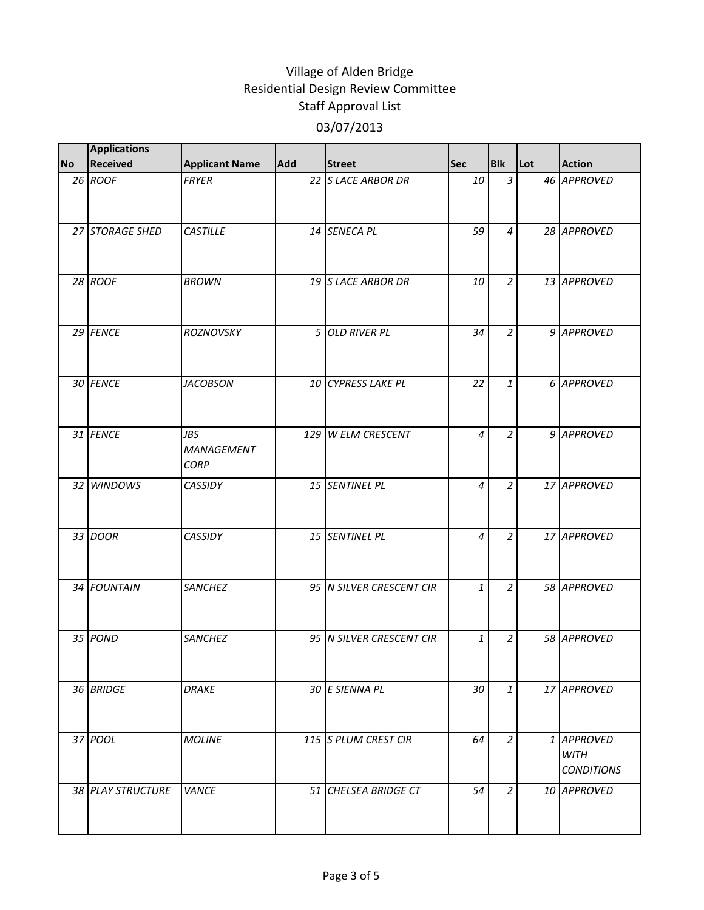|           | <b>Applications</b> |                                         |            |                          |            |                |     |                                                |
|-----------|---------------------|-----------------------------------------|------------|--------------------------|------------|----------------|-----|------------------------------------------------|
| <b>No</b> | <b>Received</b>     | <b>Applicant Name</b>                   | <b>Add</b> | <b>Street</b>            | <b>Sec</b> | <b>Blk</b>     | Lot | <b>Action</b>                                  |
|           | 26 ROOF             | <b>FRYER</b>                            |            | 22 S LACE ARBOR DR       | 10         | $\mathfrak{Z}$ |     | 46 APPROVED                                    |
|           | 27 STORAGE SHED     | <b>CASTILLE</b>                         |            | 14 SENECA PL             | 59         | $\overline{4}$ |     | 28 APPROVED                                    |
|           | 28 ROOF             | <b>BROWN</b>                            |            | 19 S LACE ARBOR DR       | 10         | $\overline{2}$ |     | 13 APPROVED                                    |
|           | 29 FENCE            | <b>ROZNOVSKY</b>                        |            | 5 OLD RIVER PL           | 34         | $\overline{2}$ |     | 9 APPROVED                                     |
|           | 30 FENCE            | <b>JACOBSON</b>                         |            | 10 CYPRESS LAKE PL       | 22         | $\mathbf{1}$   |     | 6 APPROVED                                     |
|           | 31 FENCE            | <b>JBS</b><br>MANAGEMENT<br><b>CORP</b> |            | 129 W ELM CRESCENT       | 4          | $\overline{2}$ |     | 9 APPROVED                                     |
|           | 32 WINDOWS          | <b>CASSIDY</b>                          |            | 15 SENTINEL PL           | 4          | $\overline{a}$ |     | 17 APPROVED                                    |
|           | 33 DOOR             | <b>CASSIDY</b>                          |            | 15 SENTINEL PL           | 4          | $\overline{2}$ |     | 17 APPROVED                                    |
|           | 34 FOUNTAIN         | SANCHEZ                                 |            | 95 N SILVER CRESCENT CIR | 1          | $\overline{a}$ |     | 58 APPROVED                                    |
|           | 35 POND             | <b>SANCHEZ</b>                          |            | 95 N SILVER CRESCENT CIR | 1          | $\overline{a}$ |     | 58 APPROVED                                    |
|           | 36 BRIDGE           | <b>DRAKE</b>                            |            | 30 E SIENNA PL           | 30         | $\mathbf{1}$   |     | 17 APPROVED                                    |
|           | 37 POOL             | <b>MOLINE</b>                           |            | 115 S PLUM CREST CIR     | 64         | $\overline{a}$ |     | 1 APPROVED<br><b>WITH</b><br><b>CONDITIONS</b> |
|           | 38 PLAY STRUCTURE   | VANCE                                   |            | 51 CHELSEA BRIDGE CT     | 54         | $\overline{2}$ |     | 10 APPROVED                                    |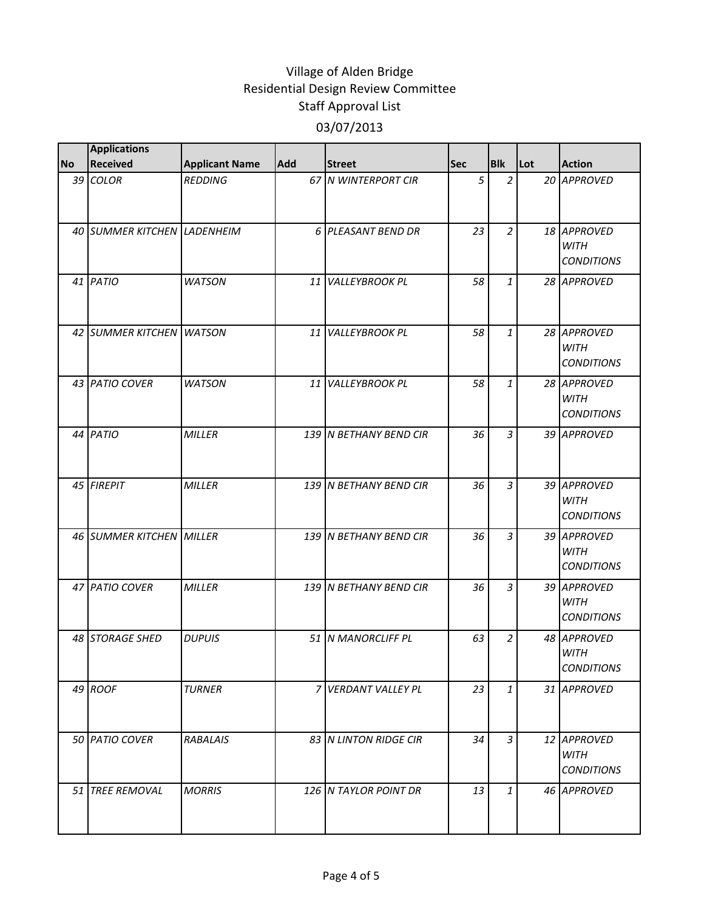|           | <b>Applications</b>         |                       |     |                        |            |                |     |                                                 |
|-----------|-----------------------------|-----------------------|-----|------------------------|------------|----------------|-----|-------------------------------------------------|
| <b>No</b> | <b>Received</b>             | <b>Applicant Name</b> | Add | <b>Street</b>          | <b>Sec</b> | <b>Blk</b>     | Lot | <b>Action</b>                                   |
|           | 39 COLOR                    | <b>REDDING</b>        |     | 67 N WINTERPORT CIR    | 5          | $\overline{a}$ |     | 20 APPROVED                                     |
|           | 40 SUMMER KITCHEN LADENHEIM |                       |     | 6 PLEASANT BEND DR     | 23         | $\overline{a}$ |     | 18 APPROVED<br><b>WITH</b><br><b>CONDITIONS</b> |
|           | 41 PATIO                    | <b>WATSON</b>         |     | 11 VALLEYBROOK PL      | 58         | $\mathbf{1}$   |     | 28 APPROVED                                     |
|           | 42 SUMMER KITCHEN WATSON    |                       |     | 11 VALLEYBROOK PL      | 58         | 1              |     | 28 APPROVED<br><b>WITH</b><br><b>CONDITIONS</b> |
|           | 43 PATIO COVER              | <b>WATSON</b>         |     | 11 VALLEYBROOK PL      | 58         | $\mathbf{1}$   |     | 28 APPROVED<br><b>WITH</b><br><b>CONDITIONS</b> |
|           | 44 PATIO                    | <b>MILLER</b>         |     | 139 N BETHANY BEND CIR | 36         | 3              |     | 39 APPROVED                                     |
|           | 45 FIREPIT                  | <b>MILLER</b>         |     | 139 N BETHANY BEND CIR | 36         | $\overline{3}$ |     | 39 APPROVED<br><b>WITH</b><br><b>CONDITIONS</b> |
|           | 46 SUMMER KITCHEN MILLER    |                       |     | 139 N BETHANY BEND CIR | 36         | $\overline{3}$ |     | 39 APPROVED<br><b>WITH</b><br><b>CONDITIONS</b> |
|           | 47 PATIO COVER              | <b>MILLER</b>         |     | 139 N BETHANY BEND CIR | 36         | $\overline{3}$ |     | 39 APPROVED<br><b>WITH</b><br><b>CONDITIONS</b> |
|           | 48 STORAGE SHED             | <b>DUPUIS</b>         |     | 51 N MANORCLIFF PL     | 63         | $\overline{a}$ |     | 48 APPROVED<br><b>WITH</b><br><b>CONDITIONS</b> |
|           | 49 ROOF                     | <b>TURNER</b>         |     | 7 VERDANT VALLEY PL    | 23         | $\mathbf{1}$   |     | 31 APPROVED                                     |
|           | 50 PATIO COVER              | <b>RABALAIS</b>       |     | 83 N LINTON RIDGE CIR  | 34         | $\mathfrak{Z}$ |     | 12 APPROVED<br><b>WITH</b><br><b>CONDITIONS</b> |
|           | 51 TREE REMOVAL             | <b>MORRIS</b>         |     | 126 N TAYLOR POINT DR  | 13         | $\mathbf{1}$   |     | 46 APPROVED                                     |